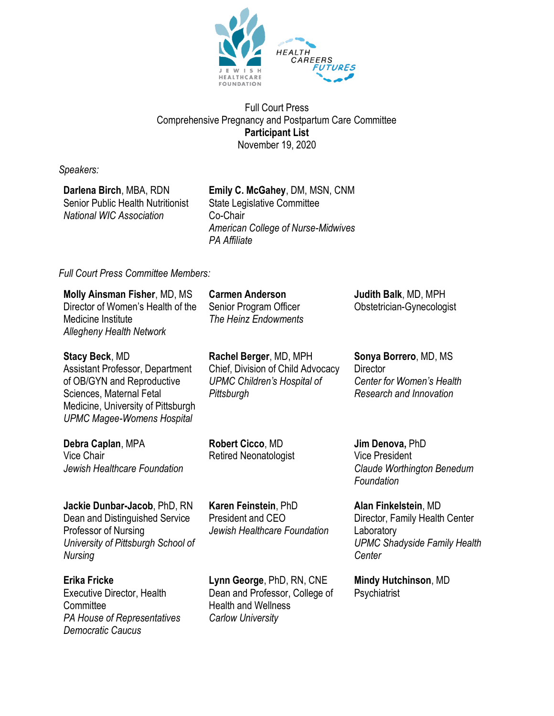

Full Court Press Comprehensive Pregnancy and Postpartum Care Committee **Participant List** November 19, 2020

*Speakers:*

**Darlena Birch**, MBA, RDN Senior Public Health Nutritionist *National WIC Association*

**Emily C. McGahey**, DM, MSN, CNM State Legislative Committee Co-Chair *American College of Nurse-Midwives PA Affiliate*

## *Full Court Press Committee Members:*

| <b>Molly Ainsman Fisher, MD, MS</b><br>Director of Women's Health of the<br>Medicine Institute<br><b>Allegheny Health Network</b>                                                                    | <b>Carmen Anderson</b><br>Senior Program Officer<br>The Heinz Endowments                                        | Judith Balk, MD, MPH<br>Obstetrician-Gynecologist                                                                     |
|------------------------------------------------------------------------------------------------------------------------------------------------------------------------------------------------------|-----------------------------------------------------------------------------------------------------------------|-----------------------------------------------------------------------------------------------------------------------|
| <b>Stacy Beck, MD</b><br><b>Assistant Professor, Department</b><br>of OB/GYN and Reproductive<br>Sciences, Maternal Fetal<br>Medicine, University of Pittsburgh<br><b>UPMC Magee-Womens Hospital</b> | Rachel Berger, MD, MPH<br>Chief, Division of Child Advocacy<br><b>UPMC Children's Hospital of</b><br>Pittsburgh | Sonya Borrero, MD, MS<br><b>Director</b><br>Center for Women's Health<br>Research and Innovation                      |
| Debra Caplan, MPA<br>Vice Chair<br>Jewish Healthcare Foundation                                                                                                                                      | Robert Cicco, MD<br><b>Retired Neonatologist</b>                                                                | Jim Denova, PhD<br><b>Vice President</b><br>Claude Worthington Benedum<br>Foundation                                  |
| Jackie Dunbar-Jacob, PhD, RN<br>Dean and Distinguished Service<br>Professor of Nursing<br>University of Pittsburgh School of<br>Nursing                                                              | Karen Feinstein, PhD<br>President and CEO<br>Jewish Healthcare Foundation                                       | Alan Finkelstein, MD<br>Director, Family Health Center<br>Laboratory<br><b>UPMC Shadyside Family Health</b><br>Center |

**Erika Fricke** Executive Director, Health **Committee** *PA House of Representatives Democratic Caucus*

**Lynn George**, PhD, RN, CNE Dean and Professor, College of Health and Wellness *Carlow University*

**Mindy Hutchinson**, MD

**Psychiatrist**